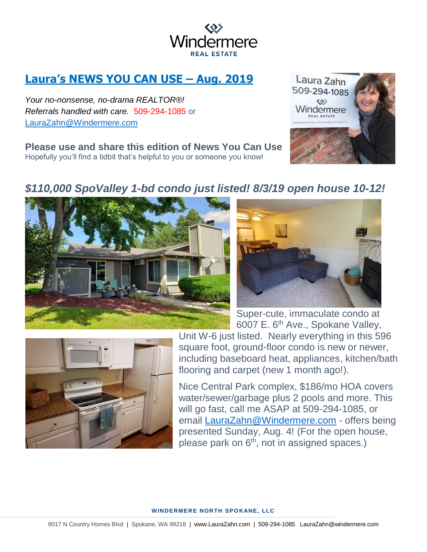

# **Laura's NEWS YOU CAN USE – Aug. 2019**

*Your no-nonsense, no-drama REALTOR®! Referrals handled with care.* 509-294-1085 or [LauraZahn@Windermere.com](mailto:LauraZahn@Windermere.com)

**Please use and share this edition of News You Can Use**  Hopefully you'll find a tidbit that's helpful to you or someone you know!



## *\$110,000 SpoValley 1-bd condo just listed! 8/3/19 open house 10-12!*





Super-cute, immaculate condo at 6007 E. 6<sup>th</sup> Ave., Spokane Valley,



Unit W-6 just listed. Nearly everything in this 596 square foot, ground-floor condo is new or newer, including baseboard heat, appliances, kitchen/bath flooring and carpet (new 1 month ago!).

Nice Central Park complex, \$186/mo HOA covers water/sewer/garbage plus 2 pools and more. This will go fast, call me ASAP at 509-294-1085, or email [LauraZahn@Windermere.com](mailto:LauraZahn@Windermere.com) - offers being presented Sunday, Aug. 4! (For the open house, please park on 6<sup>th</sup>, not in assigned spaces.)

#### **WINDERMERE NORTH SPOKANE, LLC**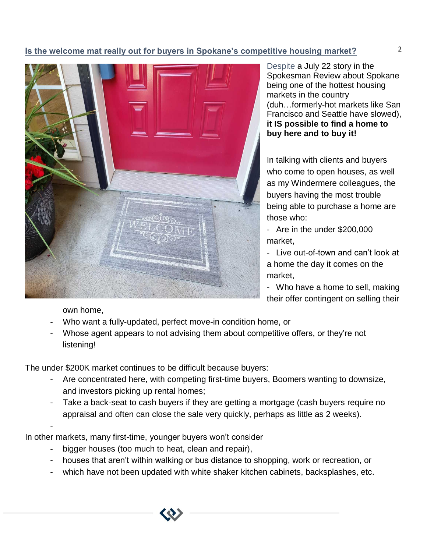### 2 **Is the welcome mat really out for buyers in Spokane's competitive housing market?**



Despite a July 22 story in the Spokesman Review about Spokane being one of the hottest housing markets in the country (duh…formerly-hot markets like San Francisco and Seattle have slowed), **it IS possible to find a home to buy here and to buy it!**

In talking with clients and buyers who come to open houses, as well as my Windermere colleagues, the buyers having the most trouble being able to purchase a home are those who:

- Are in the under \$200,000 market,

- Live out-of-town and can't look at a home the day it comes on the market,

- Who have a home to sell, making their offer contingent on selling their

own home,

-

- Who want a fully-updated, perfect move-in condition home, or
- Whose agent appears to not advising them about competitive offers, or they're not listening!

The under \$200K market continues to be difficult because buyers:

- Are concentrated here, with competing first-time buyers, Boomers wanting to downsize, and investors picking up rental homes;
- Take a back-seat to cash buyers if they are getting a mortgage (cash buyers require no appraisal and often can close the sale very quickly, perhaps as little as 2 weeks).

In other markets, many first-time, younger buyers won't consider

- bigger houses (too much to heat, clean and repair),
- houses that aren't within walking or bus distance to shopping, work or recreation, or
- which have not been updated with white shaker kitchen cabinets, backsplashes, etc.

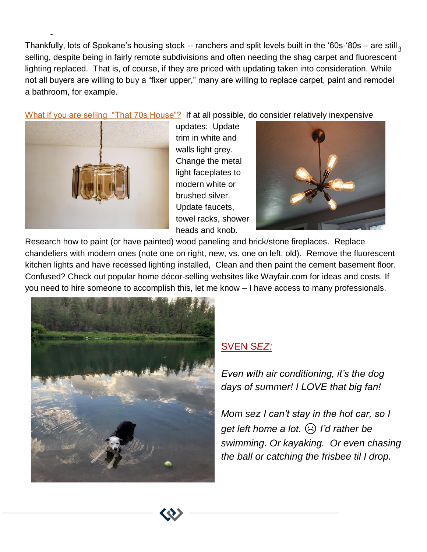Thankfully, lots of Spokane's housing stock -- ranchers and split levels built in the '60s-'80s – are still  $_3$ selling, despite being in fairly remote subdivisions and often needing the shag carpet and fluorescent lighting replaced. That is, of course, if they are priced with updating taken into consideration. While not all buyers are willing to buy a "fixer upper," many are willing to replace carpet, paint and remodel a bathroom, for example.

What if you are selling "That 70s House"? If at all possible, do consider relatively inexpensive



-

updates: Update trim in white and walls light grey. Change the metal light faceplates to modern white or brushed silver. Update faucets, towel racks, shower heads and knob.



Research how to paint (or have painted) wood paneling and brick/stone fireplaces. Replace chandeliers with modern ones (note one on right, new, vs. one on left, old). Remove the fluorescent kitchen lights and have recessed lighting installed, Clean and then paint the cement basement floor. Confused? Check out popular home décor-selling websites like Wayfair.com for ideas and costs. If you need to hire someone to accomplish this, let me know – I have access to many professionals.



### SVEN S*EZ:*

*Even with air conditioning, it's the dog days of summer! I LOVE that big fan!* 

*Mom sez I can't stay in the hot car, so I get left home a lot.* ☹ *I'd rather be swimming. Or kayaking. Or even chasing the ball or catching the frisbee til I drop.*

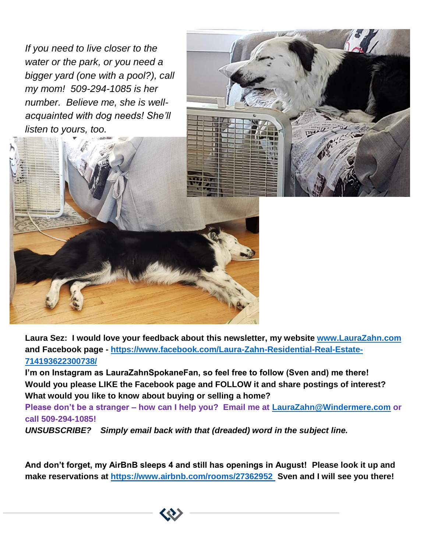*If you need to live closer to the water or the park, or you need a bigger yard (one with a pool?), call my mom! 509-294-1085 is her number. Believe me, she is wellacquainted with dog needs! She'll listen to yours, too.*





**I'm on Instagram as LauraZahnSpokaneFan, so feel free to follow (Sven and) me there! Would you please LIKE the Facebook page and FOLLOW it and share postings of interest? What would you like to know about buying or selling a home?**

**Please don't be a stranger – how can I help you? Email me at [LauraZahn@Windermere.com](mailto:LauraZahn@Windermere.com) or call 509-294-1085!** 

*UNSUBSCRIBE? Simply email back with that (dreaded) word in the subject line.*

**And don't forget, my AirBnB sleeps 4 and still has openings in August! Please look it up and make reservations at<https://www.airbnb.com/rooms/27362952> Sven and I will see you there!**